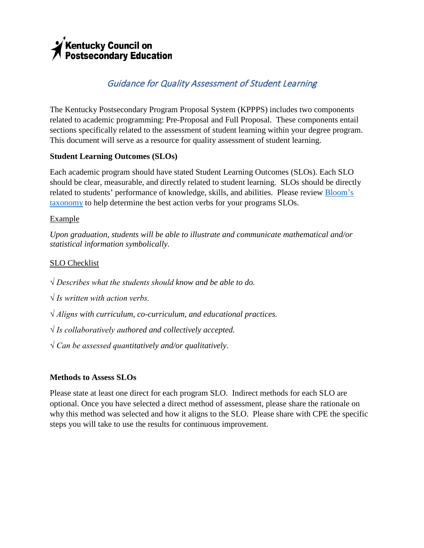# √<br>Nentucky Council on<br>Postsecondary Education

# Guidance for Quality Assessment of Student Learning

The Kentucky Postsecondary Program Proposal System (KPPPS) includes two components related to academic programming: Pre-Proposal and Full Proposal. These components entail sections specifically related to the assessment of student learning within your degree program. This document will serve as a resource for quality assessment of student learning.

# **Student Learning Outcomes (SLOs)**

Each academic program should have stated Student Learning Outcomes (SLOs). Each SLO should be clear, measurable, and directly related to student learning. SLOs should be directly related to students' performance of knowledge, skills, and abilities. Please review [Bloom's](http://cpe.ky.gov/policies/kppps/rubrics/wordpowerusingbloomstaxonomy.pdf)  [taxonomy](http://cpe.ky.gov/policies/kppps/rubrics/wordpowerusingbloomstaxonomy.pdf) to help determine the best action verbs for your programs SLOs.

### Example

*Upon graduation, students will be able to illustrate and communicate mathematical and/or statistical information symbolically.* 

# SLO Checklist

*√ Describes what the students should know and be able to do.*

*√ Is written with action verbs.*

*√ Aligns with curriculum, co-curriculum, and educational practices.*

*√ Is collaboratively authored and collectively accepted.*

*√ Can be assessed quantitatively and/or qualitatively*.

### **Methods to Assess SLOs**

Please state at least one direct for each program SLO. Indirect methods for each SLO are optional. Once you have selected a direct method of assessment, please share the rationale on why this method was selected and how it aligns to the SLO. Please share with CPE the specific steps you will take to use the results for continuous improvement.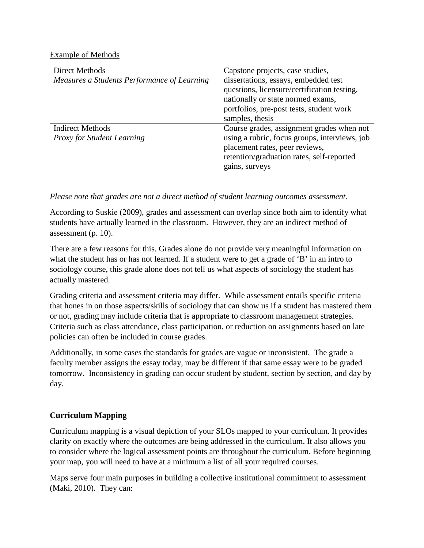#### Example of Methods

| Direct Methods<br>Measures a Students Performance of Learning | Capstone projects, case studies,<br>dissertations, essays, embedded test<br>questions, licensure/certification testing,<br>nationally or state normed exams,<br>portfolios, pre-post tests, student work<br>samples, thesis |
|---------------------------------------------------------------|-----------------------------------------------------------------------------------------------------------------------------------------------------------------------------------------------------------------------------|
| <b>Indirect Methods</b><br><b>Proxy for Student Learning</b>  | Course grades, assignment grades when not<br>using a rubric, focus groups, interviews, job<br>placement rates, peer reviews,<br>retention/graduation rates, self-reported<br>gains, surveys                                 |

#### *Please note that grades are not a direct method of student learning outcomes assessment.*

According to Suskie (2009), grades and assessment can overlap since both aim to identify what students have actually learned in the classroom. However, they are an indirect method of assessment (p. 10).

There are a few reasons for this. Grades alone do not provide very meaningful information on what the student has or has not learned. If a student were to get a grade of 'B' in an intro to sociology course, this grade alone does not tell us what aspects of sociology the student has actually mastered.

Grading criteria and assessment criteria may differ. While assessment entails specific criteria that hones in on those aspects/skills of sociology that can show us if a student has mastered them or not, grading may include criteria that is appropriate to classroom management strategies. Criteria such as class attendance, class participation, or reduction on assignments based on late policies can often be included in course grades.

Additionally, in some cases the standards for grades are vague or inconsistent. The grade a faculty member assigns the essay today, may be different if that same essay were to be graded tomorrow. Inconsistency in grading can occur student by student, section by section, and day by day.

### **Curriculum Mapping**

Curriculum mapping is a visual depiction of your SLOs mapped to your curriculum. It provides clarity on exactly where the outcomes are being addressed in the curriculum. It also allows you to consider where the logical assessment points are throughout the curriculum. Before beginning your map, you will need to have at a minimum a list of all your required courses.

Maps serve four main purposes in building a collective institutional commitment to assessment (Maki, 2010). They can: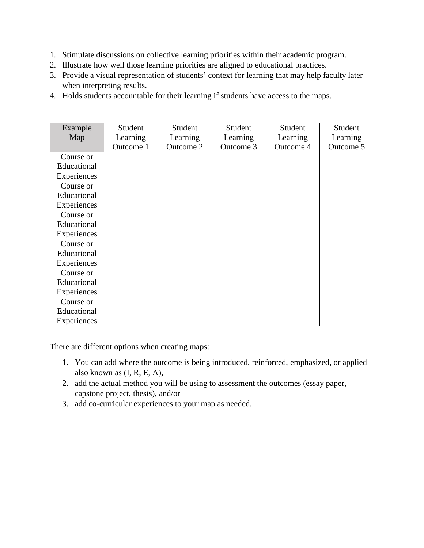- 1. Stimulate discussions on collective learning priorities within their academic program.
- 2. Illustrate how well those learning priorities are aligned to educational practices.
- 3. Provide a visual representation of students' context for learning that may help faculty later when interpreting results.
- 4. Holds students accountable for their learning if students have access to the maps.

| Example     | Student   | Student   | Student   | Student   | Student   |
|-------------|-----------|-----------|-----------|-----------|-----------|
| Map         | Learning  | Learning  | Learning  | Learning  | Learning  |
|             | Outcome 1 | Outcome 2 | Outcome 3 | Outcome 4 | Outcome 5 |
| Course or   |           |           |           |           |           |
| Educational |           |           |           |           |           |
| Experiences |           |           |           |           |           |
| Course or   |           |           |           |           |           |
| Educational |           |           |           |           |           |
| Experiences |           |           |           |           |           |
| Course or   |           |           |           |           |           |
| Educational |           |           |           |           |           |
| Experiences |           |           |           |           |           |
| Course or   |           |           |           |           |           |
| Educational |           |           |           |           |           |
| Experiences |           |           |           |           |           |
| Course or   |           |           |           |           |           |
| Educational |           |           |           |           |           |
| Experiences |           |           |           |           |           |
| Course or   |           |           |           |           |           |
| Educational |           |           |           |           |           |
| Experiences |           |           |           |           |           |

There are different options when creating maps:

- 1. You can add where the outcome is being introduced, reinforced, emphasized, or applied also known as (I, R, E, A),
- 2. add the actual method you will be using to assessment the outcomes (essay paper, capstone project, thesis), and/or
- 3. add co-curricular experiences to your map as needed.